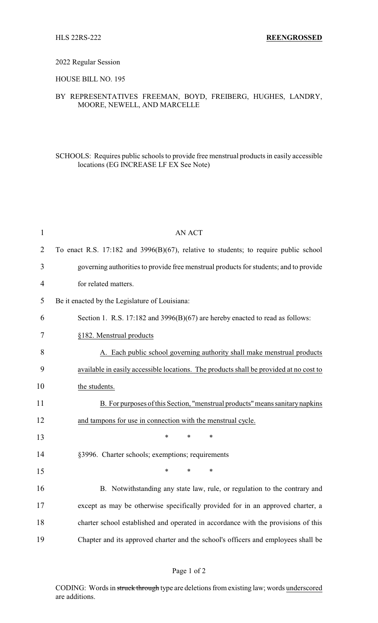#### 2022 Regular Session

### HOUSE BILL NO. 195

## BY REPRESENTATIVES FREEMAN, BOYD, FREIBERG, HUGHES, LANDRY, MOORE, NEWELL, AND MARCELLE

## SCHOOLS: Requires public schools to provide free menstrual products in easily accessible locations (EG INCREASE LF EX See Note)

| $\mathbf{1}$   | <b>AN ACT</b>                                                                             |
|----------------|-------------------------------------------------------------------------------------------|
| $\overline{2}$ | To enact R.S. $17:182$ and $3996(B)(67)$ , relative to students; to require public school |
| 3              | governing authorities to provide free menstrual products for students; and to provide     |
| $\overline{4}$ | for related matters.                                                                      |
| 5              | Be it enacted by the Legislature of Louisiana:                                            |
| 6              | Section 1. R.S. 17:182 and 3996(B)(67) are hereby enacted to read as follows:             |
| 7              | §182. Menstrual products                                                                  |
| 8              | A. Each public school governing authority shall make menstrual products                   |
| 9              | available in easily accessible locations. The products shall be provided at no cost to    |
| 10             | the students.                                                                             |
| 11             | B. For purposes of this Section, "menstrual products" means sanitary napkins              |
| 12             | and tampons for use in connection with the menstrual cycle.                               |
| 13             | $\ast$<br>*<br>$\ast$                                                                     |
| 14             | §3996. Charter schools; exemptions; requirements                                          |
| 15             | $\ast$<br>*<br>$\ast$                                                                     |
| 16             | B. Notwithstanding any state law, rule, or regulation to the contrary and                 |
| 17             | except as may be otherwise specifically provided for in an approved charter, a            |
| 18             | charter school established and operated in accordance with the provisions of this         |
| 19             | Chapter and its approved charter and the school's officers and employees shall be         |

### Page 1 of 2

CODING: Words in struck through type are deletions from existing law; words underscored are additions.